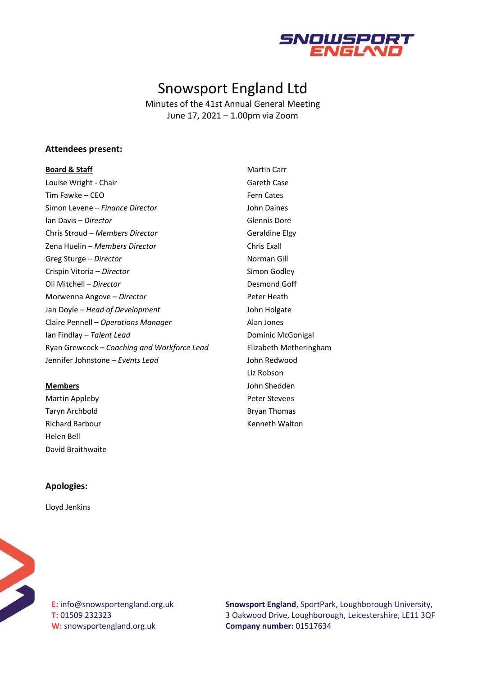

# Snowsport England Ltd

Minutes of the 41st Annual General Meeting June 17, 2021 – 1.00pm via Zoom

## **Attendees present:**

#### **Board & Staff**

Louise Wright - Chair Tim Fawke – CEO Simon Levene – *Finance Director* Ian Davis – *Director* Chris Stroud – *Members Director* Zena Huelin – *Members Director* Greg Sturge – *Director* Crispin Vitoria – *Director* Oli Mitchell – *Director* Morwenna Angove – *Director*  Jan Doyle – *Head of Development* Claire Pennell – *Operations Manager* Ian Findlay – *Talent Lead* Ryan Grewcock – *Coaching and Workforce Lead* Jennifer Johnstone – *Events Lead*

## **Members**

Martin Appleby Taryn Archbold Richard Barbour Helen Bell David Braithwaite Martin Carr Gareth Case Fern Cates John Daines Glennis Dore Geraldine Elgy Chris Exall Norman Gill Simon Godley Desmond Goff Peter Heath John Holgate Alan Jones Dominic McGonigal Elizabeth Metheringham John Redwood Liz Robson John Shedden Peter Stevens Bryan Thomas Kenneth Walton

#### **Apologies:**

Lloyd Jenkins



**E:** info@snowsportengland.org.uk **T:** 01509 232323 **W:** snowsportengland.org.uk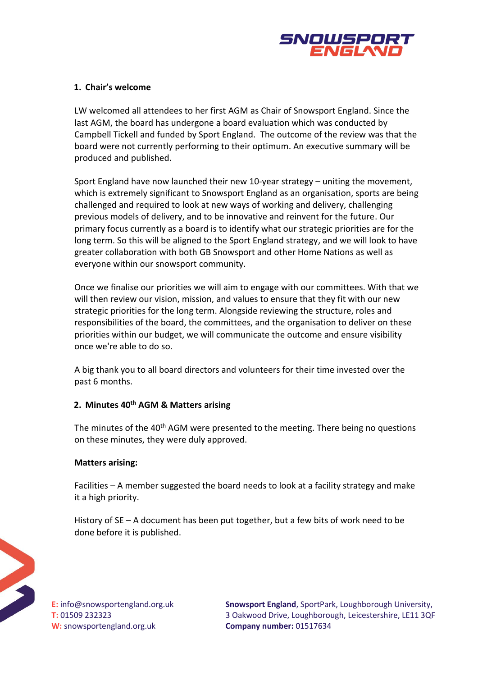

# **1. Chair's welcome**

LW welcomed all attendees to her first AGM as Chair of Snowsport England. Since the last AGM, the board has undergone a board evaluation which was conducted by Campbell Tickell and funded by Sport England. The outcome of the review was that the board were not currently performing to their optimum. An executive summary will be produced and published.

Sport England have now launched their new 10-year strategy – uniting the movement, which is extremely significant to Snowsport England as an organisation, sports are being challenged and required to look at new ways of working and delivery, challenging previous models of delivery, and to be innovative and reinvent for the future. Our primary focus currently as a board is to identify what our strategic priorities are for the long term. So this will be aligned to the Sport England strategy, and we will look to have greater collaboration with both GB Snowsport and other Home Nations as well as everyone within our snowsport community.

Once we finalise our priorities we will aim to engage with our committees. With that we will then review our vision, mission, and values to ensure that they fit with our new strategic priorities for the long term. Alongside reviewing the structure, roles and responsibilities of the board, the committees, and the organisation to deliver on these priorities within our budget, we will communicate the outcome and ensure visibility once we're able to do so.

A big thank you to all board directors and volunteers for their time invested over the past 6 months.

# **2. Minutes 40th AGM & Matters arising**

The minutes of the 40<sup>th</sup> AGM were presented to the meeting. There being no questions on these minutes, they were duly approved.

# **Matters arising:**

Facilities – A member suggested the board needs to look at a facility strategy and make it a high priority.

History of SE – A document has been put together, but a few bits of work need to be done before it is published.



**E:** info@snowsportengland.org.uk **T:** 01509 232323 **W:** snowsportengland.org.uk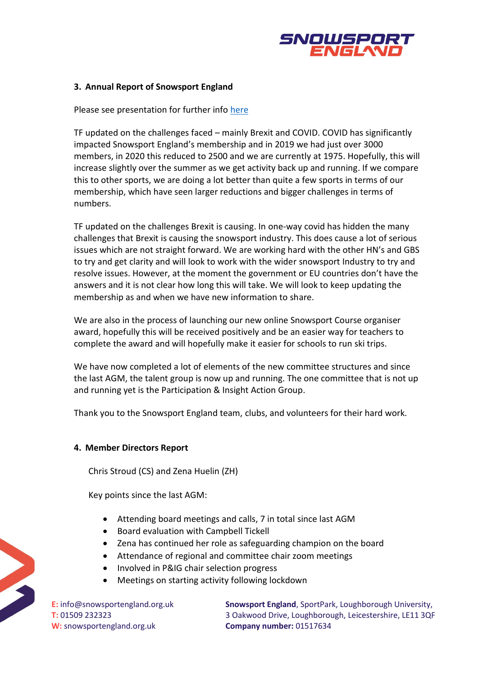

# **3. Annual Report of Snowsport England**

# Please see presentation for further info [here](https://www.snowsportengland.org.uk/wp-content/uploads/2021/07/AGM-slides-2021.pdf)

TF updated on the challenges faced – mainly Brexit and COVID. COVID has significantly impacted Snowsport England's membership and in 2019 we had just over 3000 members, in 2020 this reduced to 2500 and we are currently at 1975. Hopefully, this will increase slightly over the summer as we get activity back up and running. If we compare this to other sports, we are doing a lot better than quite a few sports in terms of our membership, which have seen larger reductions and bigger challenges in terms of numbers.

TF updated on the challenges Brexit is causing. In one-way covid has hidden the many challenges that Brexit is causing the snowsport industry. This does cause a lot of serious issues which are not straight forward. We are working hard with the other HN's and GBS to try and get clarity and will look to work with the wider snowsport Industry to try and resolve issues. However, at the moment the government or EU countries don't have the answers and it is not clear how long this will take. We will look to keep updating the membership as and when we have new information to share.

We are also in the process of launching our new online Snowsport Course organiser award, hopefully this will be received positively and be an easier way for teachers to complete the award and will hopefully make it easier for schools to run ski trips.

We have now completed a lot of elements of the new committee structures and since the last AGM, the talent group is now up and running. The one committee that is not up and running yet is the Participation & Insight Action Group.

Thank you to the Snowsport England team, clubs, and volunteers for their hard work.

#### **4. Member Directors Report**

Chris Stroud (CS) and Zena Huelin (ZH)

Key points since the last AGM:

- Attending board meetings and calls, 7 in total since last AGM
- Board evaluation with Campbell Tickell
- Zena has continued her role as safeguarding champion on the board
- Attendance of regional and committee chair zoom meetings
- Involved in P&IG chair selection progress
- Meetings on starting activity following lockdown

**E:** info@snowsportengland.org.uk **T:** 01509 232323 **W:** snowsportengland.org.uk

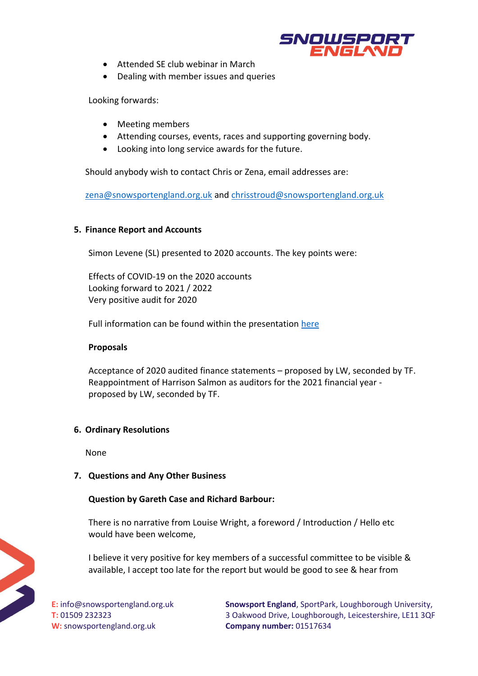

- Attended SE club webinar in March
- Dealing with member issues and queries

Looking forwards:

- Meeting members
- Attending courses, events, races and supporting governing body.
- Looking into long service awards for the future.

Should anybody wish to contact Chris or Zena, email addresses are:

[zena@snowsportengland.org.uk](mailto:zena@snowsportengland.org.uk) and [chrisstroud@snowsportengland.org.uk](mailto:chrisstroud@snowsportengland.org.uk)

# **5. Finance Report and Accounts**

Simon Levene (SL) presented to 2020 accounts. The key points were:

Effects of COVID-19 on the 2020 accounts Looking forward to 2021 / 2022 Very positive audit for 2020

Full information can be found within the presentation [here](https://www.snowsportengland.org.uk/wp-content/uploads/2021/07/AGM-slides-2021.pdf)

# **Proposals**

Acceptance of 2020 audited finance statements – proposed by LW, seconded by TF. Reappointment of Harrison Salmon as auditors for the 2021 financial year proposed by LW, seconded by TF.

# **6. Ordinary Resolutions**

None

# **7. Questions and Any Other Business**

# **Question by Gareth Case and Richard Barbour:**

There is no narrative from Louise Wright, a foreword / Introduction / Hello etc would have been welcome,

I believe it very positive for key members of a successful committee to be visible & available, I accept too late for the report but would be good to see & hear from

**E:** info@snowsportengland.org.uk **T:** 01509 232323 **W:** snowsportengland.org.uk

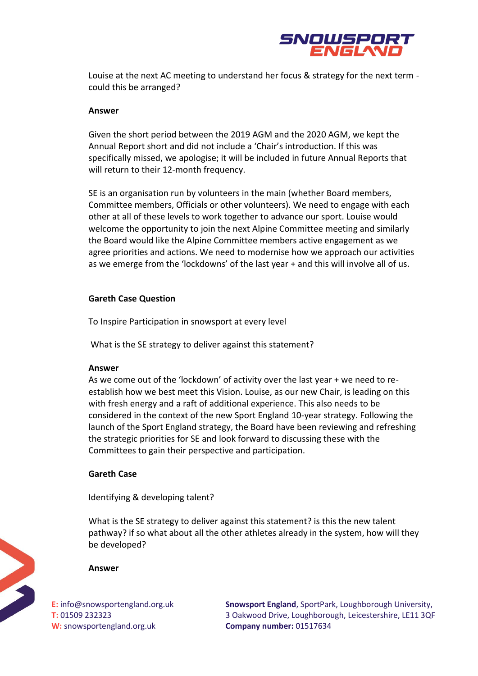

Louise at the next AC meeting to understand her focus & strategy for the next term could this be arranged?

## **Answer**

Given the short period between the 2019 AGM and the 2020 AGM, we kept the Annual Report short and did not include a 'Chair's introduction. If this was specifically missed, we apologise; it will be included in future Annual Reports that will return to their 12-month frequency.

SE is an organisation run by volunteers in the main (whether Board members, Committee members, Officials or other volunteers). We need to engage with each other at all of these levels to work together to advance our sport. Louise would welcome the opportunity to join the next Alpine Committee meeting and similarly the Board would like the Alpine Committee members active engagement as we agree priorities and actions. We need to modernise how we approach our activities as we emerge from the 'lockdowns' of the last year + and this will involve all of us.

## **Gareth Case Question**

To Inspire Participation in snowsport at every level

What is the SE strategy to deliver against this statement?

#### **Answer**

As we come out of the 'lockdown' of activity over the last year + we need to reestablish how we best meet this Vision. Louise, as our new Chair, is leading on this with fresh energy and a raft of additional experience. This also needs to be considered in the context of the new Sport England 10-year strategy. Following the launch of the Sport England strategy, the Board have been reviewing and refreshing the strategic priorities for SE and look forward to discussing these with the Committees to gain their perspective and participation.

# **Gareth Case**

Identifying & developing talent?

What is the SE strategy to deliver against this statement? is this the new talent pathway? if so what about all the other athletes already in the system, how will they be developed?

#### **Answer**

**E:** info@snowsportengland.org.uk **T:** 01509 232323 **W:** snowsportengland.org.uk

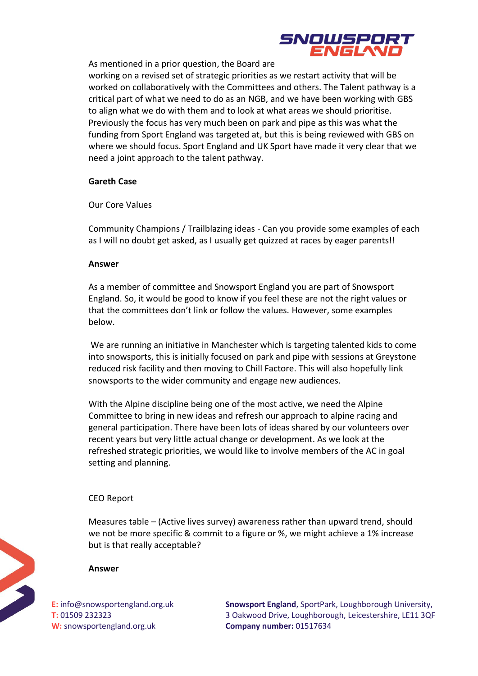

As mentioned in a prior question, the Board are

working on a revised set of strategic priorities as we restart activity that will be worked on collaboratively with the Committees and others. The Talent pathway is a critical part of what we need to do as an NGB, and we have been working with GBS to align what we do with them and to look at what areas we should prioritise. Previously the focus has very much been on park and pipe as this was what the funding from Sport England was targeted at, but this is being reviewed with GBS on where we should focus. Sport England and UK Sport have made it very clear that we need a joint approach to the talent pathway.

# **Gareth Case**

Our Core Values

Community Champions / Trailblazing ideas - Can you provide some examples of each as I will no doubt get asked, as I usually get quizzed at races by eager parents!!

# **Answer**

As a member of committee and Snowsport England you are part of Snowsport England. So, it would be good to know if you feel these are not the right values or that the committees don't link or follow the values. However, some examples below.

We are running an initiative in Manchester which is targeting talented kids to come into snowsports, this is initially focused on park and pipe with sessions at Greystone reduced risk facility and then moving to Chill Factore. This will also hopefully link snowsports to the wider community and engage new audiences.

With the Alpine discipline being one of the most active, we need the Alpine Committee to bring in new ideas and refresh our approach to alpine racing and general participation. There have been lots of ideas shared by our volunteers over recent years but very little actual change or development. As we look at the refreshed strategic priorities, we would like to involve members of the AC in goal setting and planning.

# CEO Report

Measures table – (Active lives survey) awareness rather than upward trend, should we not be more specific & commit to a figure or %, we might achieve a 1% increase but is that really acceptable?

# **Answer**

**E:** info@snowsportengland.org.uk **T:** 01509 232323 **W:** snowsportengland.org.uk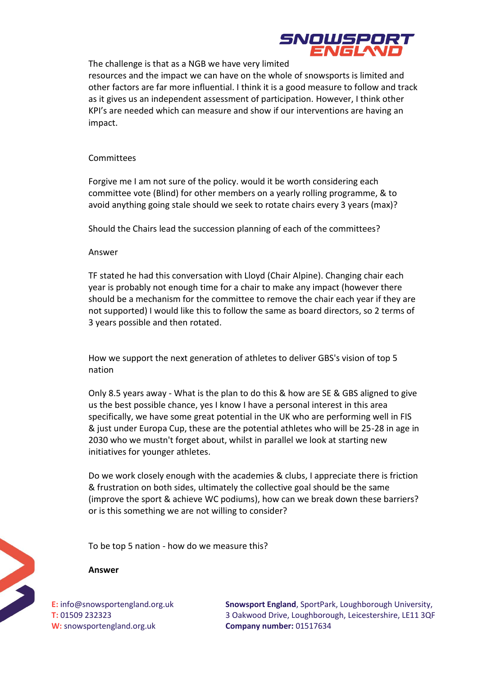

The challenge is that as a NGB we have very limited

resources and the impact we can have on the whole of snowsports is limited and other factors are far more influential. I think it is a good measure to follow and track as it gives us an independent assessment of participation. However, I think other KPI's are needed which can measure and show if our interventions are having an impact.

## Committees

Forgive me I am not sure of the policy. would it be worth considering each committee vote (Blind) for other members on a yearly rolling programme, & to avoid anything going stale should we seek to rotate chairs every 3 years (max)?

Should the Chairs lead the succession planning of each of the committees?

## Answer

TF stated he had this conversation with Lloyd (Chair Alpine). Changing chair each year is probably not enough time for a chair to make any impact (however there should be a mechanism for the committee to remove the chair each year if they are not supported) I would like this to follow the same as board directors, so 2 terms of 3 years possible and then rotated.

How we support the next generation of athletes to deliver GBS's vision of top 5 nation

Only 8.5 years away - What is the plan to do this & how are SE & GBS aligned to give us the best possible chance, yes I know I have a personal interest in this area specifically, we have some great potential in the UK who are performing well in FIS & just under Europa Cup, these are the potential athletes who will be 25-28 in age in 2030 who we mustn't forget about, whilst in parallel we look at starting new initiatives for younger athletes.

Do we work closely enough with the academies & clubs, I appreciate there is friction & frustration on both sides, ultimately the collective goal should be the same (improve the sport & achieve WC podiums), how can we break down these barriers? or is this something we are not willing to consider?

To be top 5 nation - how do we measure this?

#### **Answer**

**E:** info@snowsportengland.org.uk **T:** 01509 232323 **W:** snowsportengland.org.uk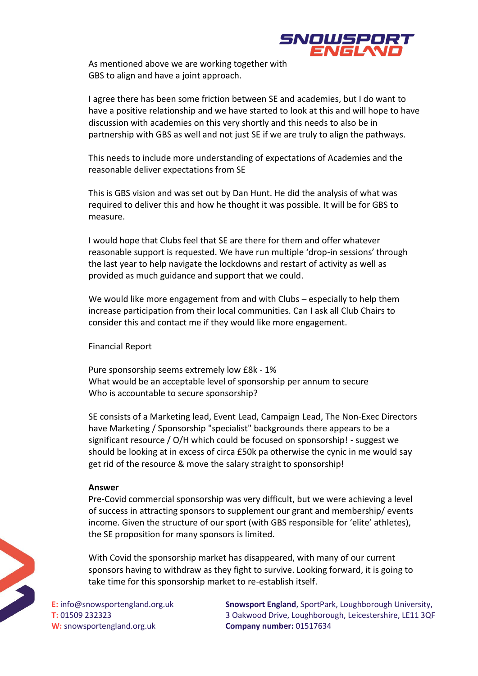

As mentioned above we are working together with GBS to align and have a joint approach.

I agree there has been some friction between SE and academies, but I do want to have a positive relationship and we have started to look at this and will hope to have discussion with academies on this very shortly and this needs to also be in partnership with GBS as well and not just SE if we are truly to align the pathways.

This needs to include more understanding of expectations of Academies and the reasonable deliver expectations from SE

This is GBS vision and was set out by Dan Hunt. He did the analysis of what was required to deliver this and how he thought it was possible. It will be for GBS to measure.

I would hope that Clubs feel that SE are there for them and offer whatever reasonable support is requested. We have run multiple 'drop-in sessions' through the last year to help navigate the lockdowns and restart of activity as well as provided as much guidance and support that we could.

We would like more engagement from and with Clubs – especially to help them increase participation from their local communities. Can I ask all Club Chairs to consider this and contact me if they would like more engagement.

#### Financial Report

Pure sponsorship seems extremely low £8k - 1% What would be an acceptable level of sponsorship per annum to secure Who is accountable to secure sponsorship?

SE consists of a Marketing lead, Event Lead, Campaign Lead, The Non-Exec Directors have Marketing / Sponsorship "specialist" backgrounds there appears to be a significant resource / O/H which could be focused on sponsorship! - suggest we should be looking at in excess of circa £50k pa otherwise the cynic in me would say get rid of the resource & move the salary straight to sponsorship!

## **Answer**

Pre-Covid commercial sponsorship was very difficult, but we were achieving a level of success in attracting sponsors to supplement our grant and membership/ events income. Given the structure of our sport (with GBS responsible for 'elite' athletes), the SE proposition for many sponsors is limited.

With Covid the sponsorship market has disappeared, with many of our current sponsors having to withdraw as they fight to survive. Looking forward, it is going to take time for this sponsorship market to re-establish itself.

**E:** info@snowsportengland.org.uk **T:** 01509 232323 **W:** snowsportengland.org.uk

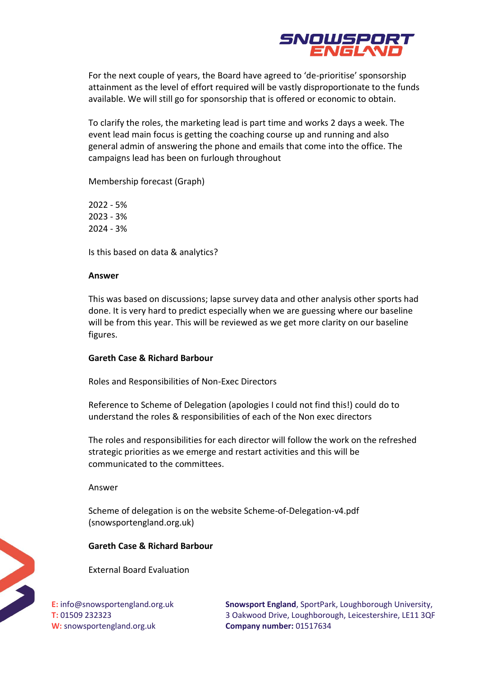

For the next couple of years, the Board have agreed to 'de-prioritise' sponsorship attainment as the level of effort required will be vastly disproportionate to the funds available. We will still go for sponsorship that is offered or economic to obtain.

To clarify the roles, the marketing lead is part time and works 2 days a week. The event lead main focus is getting the coaching course up and running and also general admin of answering the phone and emails that come into the office. The campaigns lead has been on furlough throughout

Membership forecast (Graph)

2022 - 5% 2023 - 3% 2024 - 3%

Is this based on data & analytics?

# **Answer**

This was based on discussions; lapse survey data and other analysis other sports had done. It is very hard to predict especially when we are guessing where our baseline will be from this year. This will be reviewed as we get more clarity on our baseline figures.

# **Gareth Case & Richard Barbour**

Roles and Responsibilities of Non-Exec Directors

Reference to Scheme of Delegation (apologies I could not find this!) could do to understand the roles & responsibilities of each of the Non exec directors

The roles and responsibilities for each director will follow the work on the refreshed strategic priorities as we emerge and restart activities and this will be communicated to the committees.

Answer

Scheme of delegation is on the website Scheme-of-Delegation-v4.pdf (snowsportengland.org.uk)

# **Gareth Case & Richard Barbour**

External Board Evaluation

**E:** info@snowsportengland.org.uk **T:** 01509 232323 **W:** snowsportengland.org.uk

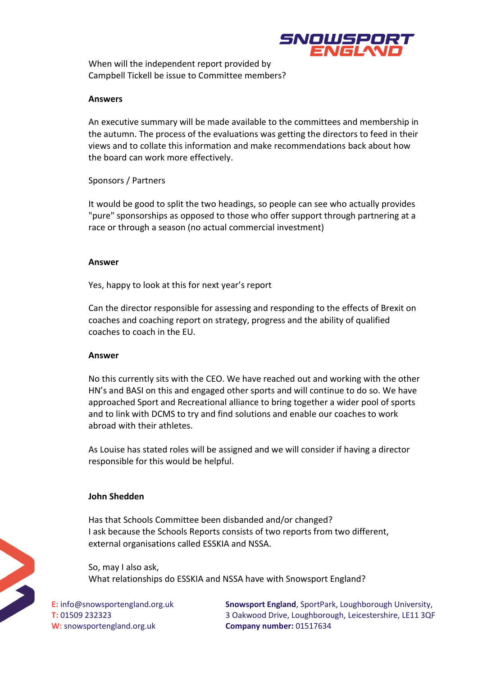

When will the independent report provided by Campbell Tickell be issue to Committee members?

## **Answers**

An executive summary will be made available to the committees and membership in the autumn. The process of the evaluations was getting the directors to feed in their views and to collate this information and make recommendations back about how the board can work more effectively.

# Sponsors / Partners

It would be good to split the two headings, so people can see who actually provides "pure" sponsorships as opposed to those who offer support through partnering at a race or through a season (no actual commercial investment)

## **Answer**

Yes, happy to look at this for next year's report

Can the director responsible for assessing and responding to the effects of Brexit on coaches and coaching report on strategy, progress and the ability of qualified coaches to coach in the EU.

# **Answer**

No this currently sits with the CEO. We have reached out and working with the other HN's and BASI on this and engaged other sports and will continue to do so. We have approached Sport and Recreational alliance to bring together a wider pool of sports and to link with DCMS to try and find solutions and enable our coaches to work abroad with their athletes.

As Louise has stated roles will be assigned and we will consider if having a director responsible for this would be helpful.

# **John Shedden**

Has that Schools Committee been disbanded and/or changed? I ask because the Schools Reports consists of two reports from two different, external organisations called ESSKIA and NSSA.

So, may I also ask, What relationships do ESSKIA and NSSA have with Snowsport England?

**E:** info@snowsportengland.org.uk **T:** 01509 232323 **W:** snowsportengland.org.uk

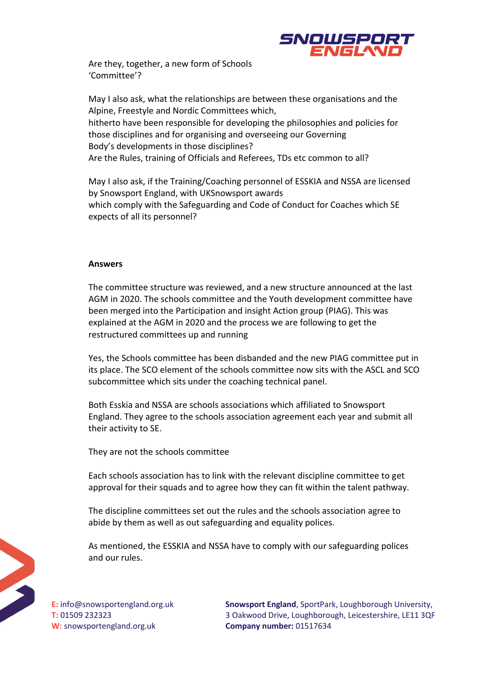

Are they, together, a new form of Schools 'Committee'?

May I also ask, what the relationships are between these organisations and the Alpine, Freestyle and Nordic Committees which, hitherto have been responsible for developing the philosophies and policies for those disciplines and for organising and overseeing our Governing Body's developments in those disciplines? Are the Rules, training of Officials and Referees, TDs etc common to all?

May I also ask, if the Training/Coaching personnel of ESSKIA and NSSA are licensed by Snowsport England, with UKSnowsport awards which comply with the Safeguarding and Code of Conduct for Coaches which SE expects of all its personnel?

## **Answers**

The committee structure was reviewed, and a new structure announced at the last AGM in 2020. The schools committee and the Youth development committee have been merged into the Participation and insight Action group (PIAG). This was explained at the AGM in 2020 and the process we are following to get the restructured committees up and running

Yes, the Schools committee has been disbanded and the new PIAG committee put in its place. The SCO element of the schools committee now sits with the ASCL and SCO subcommittee which sits under the coaching technical panel.

Both Esskia and NSSA are schools associations which affiliated to Snowsport England. They agree to the schools association agreement each year and submit all their activity to SE.

They are not the schools committee

Each schools association has to link with the relevant discipline committee to get approval for their squads and to agree how they can fit within the talent pathway.

The discipline committees set out the rules and the schools association agree to abide by them as well as out safeguarding and equality polices.

As mentioned, the ESSKIA and NSSA have to comply with our safeguarding polices and our rules.



**E:** info@snowsportengland.org.uk **T:** 01509 232323 **W:** snowsportengland.org.uk